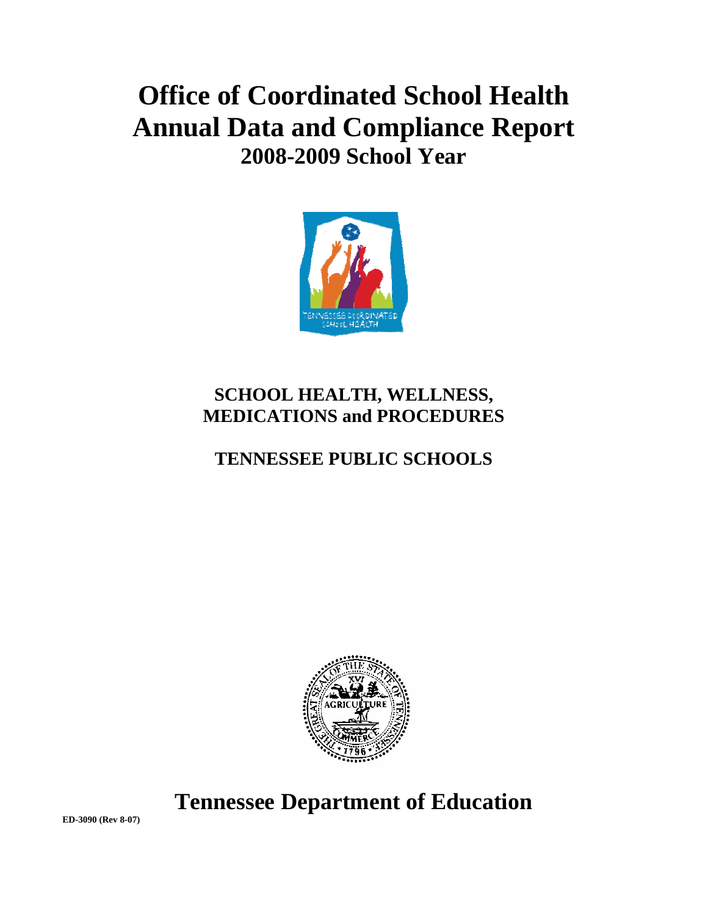# **Office of Coordinated School Health Annual Data and Compliance Report 2008-2009 School Year**



# **SCHOOL HEALTH, WELLNESS, MEDICATIONS and PROCEDURES**

# **TENNESSEE PUBLIC SCHOOLS**



**Tennessee Department of Education** 

**ED-3090 (Rev 8-07)**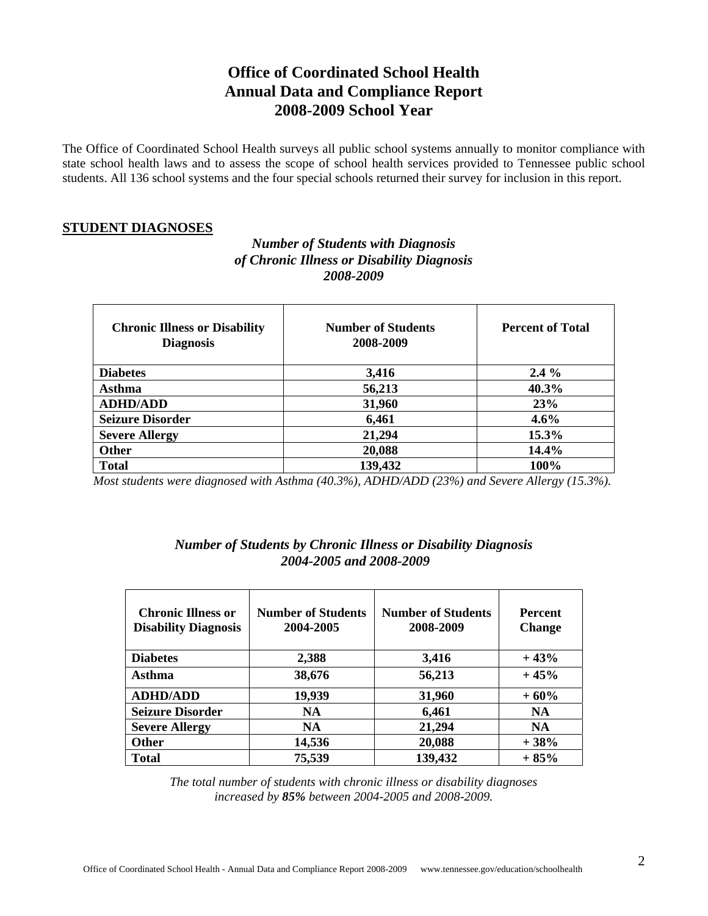## **Office of Coordinated School Health Annual Data and Compliance Report 2008-2009 School Year**

The Office of Coordinated School Health surveys all public school systems annually to monitor compliance with state school health laws and to assess the scope of school health services provided to Tennessee public school students. All 136 school systems and the four special schools returned their survey for inclusion in this report.

#### **STUDENT DIAGNOSES**

#### *Number of Students with Diagnosis of Chronic Illness or Disability Diagnosis 2008-2009*

| <b>Chronic Illness or Disability</b><br><b>Diagnosis</b> | <b>Number of Students</b><br>2008-2009 | <b>Percent of Total</b> |
|----------------------------------------------------------|----------------------------------------|-------------------------|
| <b>Diabetes</b>                                          | 3,416                                  | $2.4\%$                 |
| Asthma                                                   | 56,213                                 | 40.3%                   |
| <b>ADHD/ADD</b>                                          | 31,960                                 | 23%                     |
| <b>Seizure Disorder</b>                                  | 6,461                                  | $4.6\%$                 |
| <b>Severe Allergy</b>                                    | 21,294                                 | 15.3%                   |
| <b>Other</b>                                             | 20,088                                 | 14.4%                   |
| <b>Total</b>                                             | 139,432                                | 100%                    |

 *Most students were diagnosed with Asthma (40.3%), ADHD/ADD (23%) and Severe Allergy (15.3%).* 

### *Number of Students by Chronic Illness or Disability Diagnosis 2004-2005 and 2008-2009*

| <b>Chronic Illness or</b><br><b>Disability Diagnosis</b> | <b>Number of Students</b><br>2004-2005 | <b>Number of Students</b><br>2008-2009 | <b>Percent</b><br><b>Change</b> |
|----------------------------------------------------------|----------------------------------------|----------------------------------------|---------------------------------|
| <b>Diabetes</b>                                          | 2,388                                  | 3,416                                  | $+43%$                          |
| Asthma                                                   | 38,676                                 | 56,213                                 | $+45%$                          |
| <b>ADHD/ADD</b>                                          | 19,939                                 | 31,960                                 | $+60%$                          |
| <b>Seizure Disorder</b>                                  | <b>NA</b>                              | 6,461                                  | <b>NA</b>                       |
| <b>Severe Allergy</b>                                    | <b>NA</b>                              | 21,294                                 | <b>NA</b>                       |
| <b>Other</b>                                             | 14,536                                 | 20,088                                 | $+38%$                          |
| <b>Total</b>                                             | 75,539                                 | 139,432                                | $+85%$                          |

*The total number of students with chronic illness or disability diagnoses increased by 85% between 2004-2005 and 2008-2009.*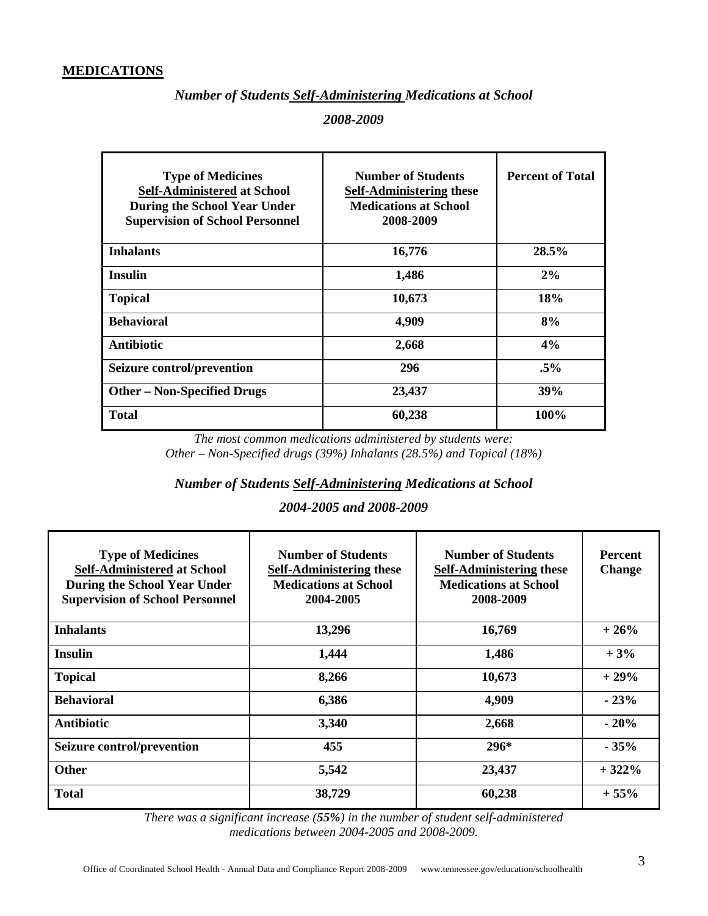#### **MEDICATIONS**

#### *Number of Students Self-Administering Medications at School*

#### *2008-2009*

| <b>Type of Medicines</b><br><b>Self-Administered at School</b><br>During the School Year Under<br><b>Supervision of School Personnel</b> | <b>Number of Students</b><br><b>Self-Administering these</b><br><b>Medications at School</b><br>2008-2009 | <b>Percent of Total</b> |
|------------------------------------------------------------------------------------------------------------------------------------------|-----------------------------------------------------------------------------------------------------------|-------------------------|
| <b>Inhalants</b>                                                                                                                         | 16,776                                                                                                    | 28.5%                   |
| <b>Insulin</b>                                                                                                                           | 1,486                                                                                                     | $2\%$                   |
| <b>Topical</b>                                                                                                                           | 10,673                                                                                                    | 18%                     |
| <b>Behavioral</b>                                                                                                                        | 4,909                                                                                                     | 8%                      |
| <b>Antibiotic</b>                                                                                                                        | 2,668                                                                                                     | 4%                      |
| <b>Seizure control/prevention</b>                                                                                                        | 296                                                                                                       | $.5\%$                  |
| <b>Other – Non-Specified Drugs</b>                                                                                                       | 23,437                                                                                                    | <b>39%</b>              |
| <b>Total</b>                                                                                                                             | 60,238                                                                                                    | 100%                    |

*The most common medications administered by students were: Other – Non-Specified drugs (39%) Inhalants (28.5%) and Topical (18%)* 

#### *Number of Students Self-Administering Medications at School*

#### *2004-2005 and 2008-2009*

| <b>Type of Medicines</b><br><b>Self-Administered at School</b><br><b>During the School Year Under</b><br><b>Supervision of School Personnel</b> | <b>Number of Students</b><br><b>Self-Administering these</b><br><b>Medications at School</b><br>2004-2005 | <b>Number of Students</b><br><b>Self-Administering these</b><br><b>Medications at School</b><br>2008-2009 | <b>Percent</b><br><b>Change</b> |
|-------------------------------------------------------------------------------------------------------------------------------------------------|-----------------------------------------------------------------------------------------------------------|-----------------------------------------------------------------------------------------------------------|---------------------------------|
| <b>Inhalants</b>                                                                                                                                | 13,296                                                                                                    | 16,769                                                                                                    | $+26%$                          |
| <b>Insulin</b>                                                                                                                                  | 1,444                                                                                                     | 1,486                                                                                                     | $+3%$                           |
| <b>Topical</b>                                                                                                                                  | 8,266                                                                                                     | 10,673                                                                                                    | $+29%$                          |
| <b>Behavioral</b>                                                                                                                               | 6,386                                                                                                     | 4,909                                                                                                     | $-23%$                          |
| <b>Antibiotic</b>                                                                                                                               | 3,340                                                                                                     | 2,668                                                                                                     | $-20%$                          |
| Seizure control/prevention                                                                                                                      | 455                                                                                                       | $296*$                                                                                                    | $-35%$                          |
| <b>Other</b>                                                                                                                                    | 5,542                                                                                                     | 23,437                                                                                                    | $+322%$                         |
| <b>Total</b>                                                                                                                                    | 38,729                                                                                                    | 60,238                                                                                                    | $+55%$                          |

*There was a significant increase (55%) in the number of student self-administered medications between 2004-2005 and 2008-2009.*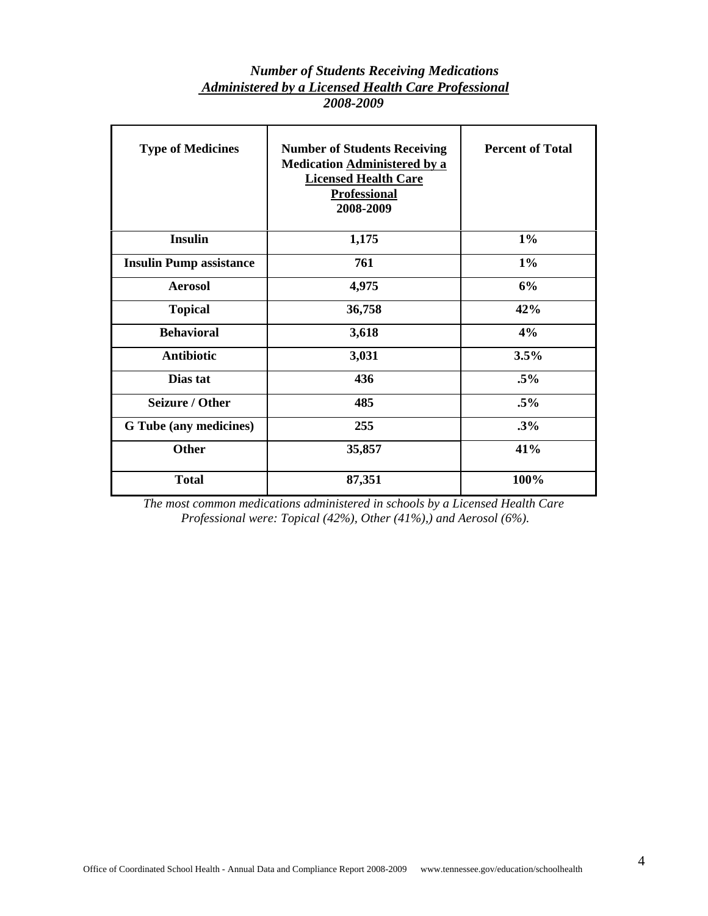#### *Number of Students Receiving Medications Administered by a Licensed Health Care Professional 2008-2009*

| <b>Type of Medicines</b>       | <b>Number of Students Receiving</b><br>Medication Administered by a<br><b>Licensed Health Care</b><br><b>Professional</b><br>2008-2009 | <b>Percent of Total</b> |
|--------------------------------|----------------------------------------------------------------------------------------------------------------------------------------|-------------------------|
| <b>Insulin</b>                 | 1,175                                                                                                                                  | $1\%$                   |
| <b>Insulin Pump assistance</b> | 761                                                                                                                                    | $1\%$                   |
| <b>Aerosol</b>                 | 4,975                                                                                                                                  | 6%                      |
| <b>Topical</b>                 | 36,758                                                                                                                                 | 42%                     |
| <b>Behavioral</b>              | 3,618                                                                                                                                  | 4%                      |
| <b>Antibiotic</b>              | 3,031                                                                                                                                  | 3.5%                    |
| Dias tat                       | 436                                                                                                                                    | $.5\%$                  |
| <b>Seizure / Other</b>         | 485                                                                                                                                    |                         |
| G Tube (any medicines)         | 255                                                                                                                                    | .3%                     |
| <b>Other</b>                   | 35,857                                                                                                                                 | 41%                     |
| <b>Total</b>                   | 87,351                                                                                                                                 | 100%                    |

*The most common medications administered in schools by a Licensed Health Care Professional were: Topical (42%), Other (41%),) and Aerosol (6%).*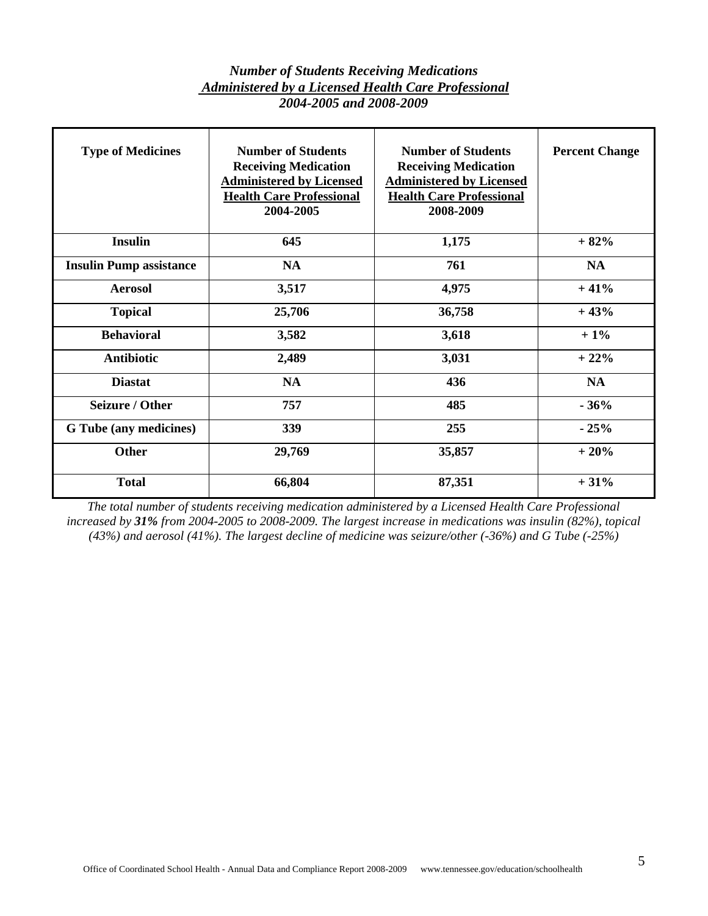#### *Number of Students Receiving Medications Administered by a Licensed Health Care Professional 2004-2005 and 2008-2009*

| <b>Type of Medicines</b>       | <b>Number of Students</b><br><b>Receiving Medication</b><br><b>Administered by Licensed</b><br><b>Health Care Professional</b><br>2004-2005 | <b>Number of Students</b><br><b>Receiving Medication</b><br><b>Administered by Licensed</b><br><b>Health Care Professional</b><br>2008-2009 | <b>Percent Change</b> |
|--------------------------------|---------------------------------------------------------------------------------------------------------------------------------------------|---------------------------------------------------------------------------------------------------------------------------------------------|-----------------------|
| <b>Insulin</b>                 | 645                                                                                                                                         | 1,175                                                                                                                                       | $+82%$                |
| <b>Insulin Pump assistance</b> | <b>NA</b>                                                                                                                                   | 761                                                                                                                                         | <b>NA</b>             |
| <b>Aerosol</b>                 | 3,517                                                                                                                                       | 4,975                                                                                                                                       | $+41%$                |
| <b>Topical</b>                 | 25,706                                                                                                                                      | 36,758                                                                                                                                      | $+43%$                |
| <b>Behavioral</b>              | 3,582                                                                                                                                       | 3,618                                                                                                                                       | $+1\%$                |
| <b>Antibiotic</b>              | 2,489                                                                                                                                       | 3,031                                                                                                                                       | $+22%$                |
| <b>Diastat</b>                 | <b>NA</b>                                                                                                                                   | 436                                                                                                                                         | <b>NA</b>             |
| <b>Seizure / Other</b>         | 757                                                                                                                                         | 485                                                                                                                                         | $-36%$                |
| G Tube (any medicines)         | 339                                                                                                                                         | 255                                                                                                                                         | $-25%$                |
| <b>Other</b>                   | 29,769                                                                                                                                      | 35,857                                                                                                                                      | $+20%$                |
| <b>Total</b>                   | 66,804                                                                                                                                      | 87,351                                                                                                                                      | $+31%$                |

*The total number of students receiving medication administered by a Licensed Health Care Professional increased by 31% from 2004-2005 to 2008-2009. The largest increase in medications was insulin (82%), topical (43%) and aerosol (41%). The largest decline of medicine was seizure/other (-36%) and G Tube (-25%)*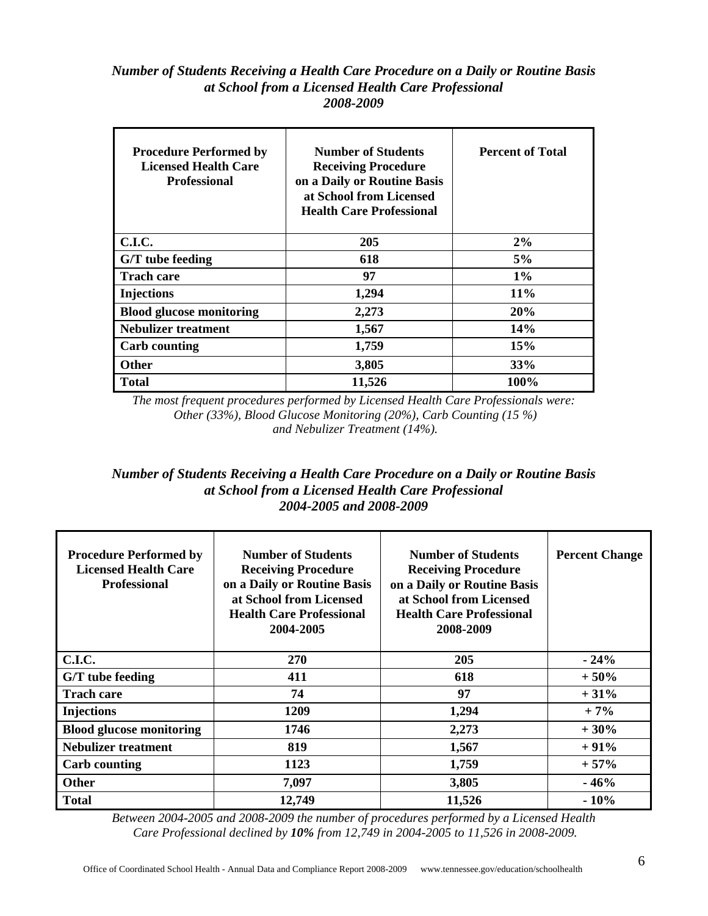#### *Number of Students Receiving a Health Care Procedure on a Daily or Routine Basis at School from a Licensed Health Care Professional 2008-2009*

| <b>Procedure Performed by</b><br><b>Licensed Health Care</b><br><b>Professional</b> | <b>Number of Students</b><br><b>Receiving Procedure</b><br>on a Daily or Routine Basis<br>at School from Licensed<br><b>Health Care Professional</b> | <b>Percent of Total</b> |  |
|-------------------------------------------------------------------------------------|------------------------------------------------------------------------------------------------------------------------------------------------------|-------------------------|--|
| C.I.C.                                                                              | 205                                                                                                                                                  | 2%                      |  |
| G/T tube feeding                                                                    | 618                                                                                                                                                  | 5%                      |  |
| <b>Trach care</b>                                                                   | 97                                                                                                                                                   | $1\%$                   |  |
| <b>Injections</b>                                                                   | 1,294                                                                                                                                                | $11\%$                  |  |
| <b>Blood glucose monitoring</b>                                                     | 2,273                                                                                                                                                | 20%                     |  |
| <b>Nebulizer treatment</b>                                                          | 1,567                                                                                                                                                | 14%                     |  |
| <b>Carb counting</b>                                                                | 1,759                                                                                                                                                | 15%                     |  |
| <b>Other</b>                                                                        | 3,805                                                                                                                                                | 33%                     |  |
| <b>Total</b>                                                                        | 11,526                                                                                                                                               | 100%                    |  |

*The most frequent procedures performed by Licensed Health Care Professionals were: Other (33%), Blood Glucose Monitoring (20%), Carb Counting (15 %) and Nebulizer Treatment (14%).* 

#### *Number of Students Receiving a Health Care Procedure on a Daily or Routine Basis at School from a Licensed Health Care Professional 2004-2005 and 2008-2009*

| <b>Procedure Performed by</b><br><b>Licensed Health Care</b><br><b>Professional</b> | <b>Number of Students</b><br><b>Receiving Procedure</b><br>on a Daily or Routine Basis<br>at School from Licensed<br><b>Health Care Professional</b><br>2004-2005 | <b>Number of Students</b><br><b>Receiving Procedure</b><br>on a Daily or Routine Basis<br>at School from Licensed<br><b>Health Care Professional</b><br>2008-2009 | <b>Percent Change</b> |
|-------------------------------------------------------------------------------------|-------------------------------------------------------------------------------------------------------------------------------------------------------------------|-------------------------------------------------------------------------------------------------------------------------------------------------------------------|-----------------------|
| C.I.C.                                                                              | <b>270</b>                                                                                                                                                        | 205                                                                                                                                                               | $-24%$                |
| G/T tube feeding                                                                    | 411                                                                                                                                                               | 618                                                                                                                                                               | $+50%$                |
| <b>Trach care</b>                                                                   | 74                                                                                                                                                                | 97                                                                                                                                                                | $+31%$                |
| <b>Injections</b>                                                                   | 1209                                                                                                                                                              | 1,294                                                                                                                                                             | $+7%$                 |
| <b>Blood glucose monitoring</b>                                                     | 1746                                                                                                                                                              | 2,273                                                                                                                                                             | $+30%$                |
| <b>Nebulizer treatment</b>                                                          | 819                                                                                                                                                               | 1,567                                                                                                                                                             | $+91%$                |
| <b>Carb counting</b>                                                                | 1123                                                                                                                                                              | 1,759                                                                                                                                                             | $+57%$                |
| <b>Other</b>                                                                        | 7,097                                                                                                                                                             | 3,805                                                                                                                                                             | $-46%$                |
| <b>Total</b>                                                                        | 12,749                                                                                                                                                            | 11,526                                                                                                                                                            | $-10%$                |

*Between 2004-2005 and 2008-2009 the number of procedures performed by a Licensed Health Care Professional declined by 10% from 12,749 in 2004-2005 to 11,526 in 2008-2009.*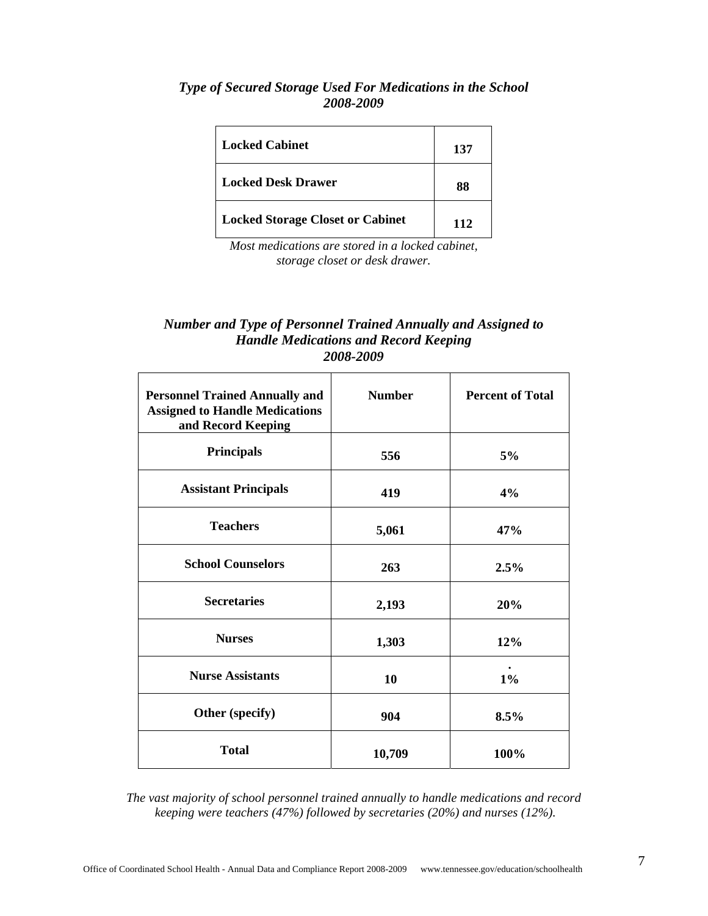#### *Type of Secured Storage Used For Medications in the School 2008-2009*

| <b>Locked Cabinet</b>                   | 137 |
|-----------------------------------------|-----|
| <b>Locked Desk Drawer</b>               | 88  |
| <b>Locked Storage Closet or Cabinet</b> | 112 |

*Most medications are stored in a locked cabinet, storage closet or desk drawer.* 

#### *Number and Type of Personnel Trained Annually and Assigned to Handle Medications and Record Keeping 2008-2009*

| <b>Personnel Trained Annually and</b><br><b>Assigned to Handle Medications</b><br>and Record Keeping | <b>Number</b> | <b>Percent of Total</b> |
|------------------------------------------------------------------------------------------------------|---------------|-------------------------|
| <b>Principals</b>                                                                                    | 556           | 5%                      |
| <b>Assistant Principals</b>                                                                          | 419           | 4%                      |
| <b>Teachers</b>                                                                                      | 5,061         | 47%                     |
| <b>School Counselors</b>                                                                             | 263           | 2.5%                    |
| <b>Secretaries</b>                                                                                   | 2,193         | 20%                     |
| <b>Nurses</b>                                                                                        | 1,303         | 12%                     |
| <b>Nurse Assistants</b>                                                                              | 10            | $1\%$                   |
| Other (specify)                                                                                      | 904           | 8.5%                    |
| <b>Total</b>                                                                                         | 10,709        | 100%                    |

*The vast majority of school personnel trained annually to handle medications and record keeping were teachers (47%) followed by secretaries (20%) and nurses (12%).*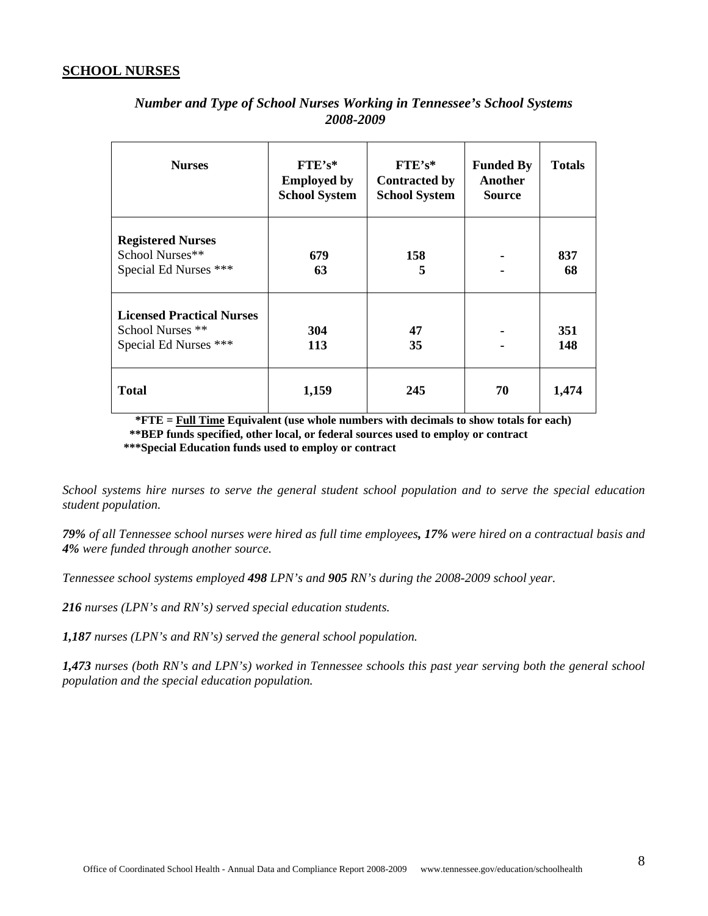#### **SCHOOL NURSES**

| <b>Nurses</b>                                                                 | $FTE's*$<br><b>Employed by</b><br><b>School System</b> | $FTE's*$<br><b>Contracted by</b><br><b>School System</b> | <b>Funded By</b><br>Another<br><b>Source</b> | <b>Totals</b> |
|-------------------------------------------------------------------------------|--------------------------------------------------------|----------------------------------------------------------|----------------------------------------------|---------------|
| <b>Registered Nurses</b><br>School Nurses**<br>Special Ed Nurses ***          | 679<br>63                                              | 158<br>5                                                 |                                              | 837<br>68     |
| <b>Licensed Practical Nurses</b><br>School Nurses **<br>Special Ed Nurses *** | 304<br>113                                             | 47<br>35                                                 |                                              | 351<br>148    |
| <b>Total</b>                                                                  | 1,159                                                  | 245                                                      | 70                                           | 1,474         |

#### *Number and Type of School Nurses Working in Tennessee's School Systems 2008-2009*

 **\*FTE = Full Time Equivalent (use whole numbers with decimals to show totals for each) \*\*BEP funds specified, other local, or federal sources used to employ or contract \*\*\*Special Education funds used to employ or contract** 

*School systems hire nurses to serve the general student school population and to serve the special education student population.* 

*79% of all Tennessee school nurses were hired as full time employees, 17% were hired on a contractual basis and 4% were funded through another source.* 

*Tennessee school systems employed 498 LPN's and 905 RN's during the 2008-2009 school year.* 

*216 nurses (LPN's and RN's) served special education students.* 

*1,187 nurses (LPN's and RN's) served the general school population.* 

*1,473 nurses (both RN's and LPN's) worked in Tennessee schools this past year serving both the general school population and the special education population.*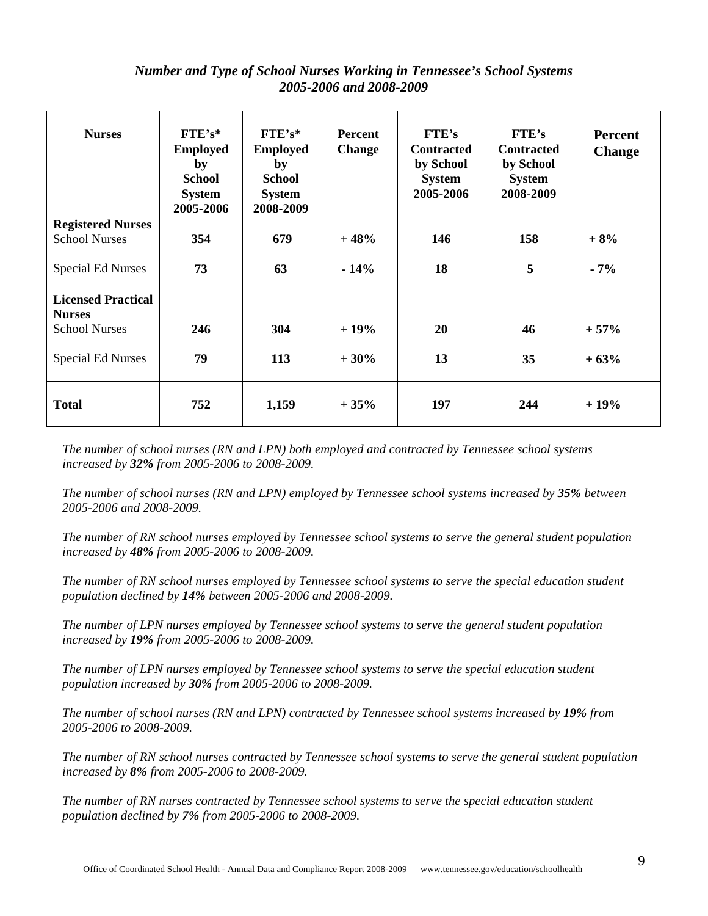#### *Number and Type of School Nurses Working in Tennessee's School Systems 2005-2006 and 2008-2009*

| <b>Nurses</b>             | $FTE's*$<br><b>Employed</b><br>by<br><b>School</b><br><b>System</b><br>2005-2006 | $FTE's*$<br><b>Employed</b><br>by<br><b>School</b><br><b>System</b><br>2008-2009 | <b>Percent</b><br><b>Change</b> | <b>FTE's</b><br><b>Contracted</b><br>by School<br><b>System</b><br>2005-2006 | <b>FTE's</b><br><b>Contracted</b><br>by School<br><b>System</b><br>2008-2009 | Percent<br><b>Change</b> |
|---------------------------|----------------------------------------------------------------------------------|----------------------------------------------------------------------------------|---------------------------------|------------------------------------------------------------------------------|------------------------------------------------------------------------------|--------------------------|
| <b>Registered Nurses</b>  |                                                                                  |                                                                                  |                                 |                                                                              |                                                                              |                          |
| <b>School Nurses</b>      | 354                                                                              | 679                                                                              | $+48%$                          | 146                                                                          | 158                                                                          | $+8%$                    |
| <b>Special Ed Nurses</b>  | 73                                                                               | 63                                                                               | $-14%$                          | 18                                                                           | 5                                                                            | $-7%$                    |
| <b>Licensed Practical</b> |                                                                                  |                                                                                  |                                 |                                                                              |                                                                              |                          |
| <b>Nurses</b>             |                                                                                  |                                                                                  |                                 |                                                                              |                                                                              |                          |
| <b>School Nurses</b>      | 246                                                                              | 304                                                                              | $+19%$                          | 20                                                                           | 46                                                                           | $+57%$                   |
| <b>Special Ed Nurses</b>  | 79                                                                               | 113                                                                              | $+30%$                          | 13                                                                           | 35                                                                           | $+63%$                   |
| <b>Total</b>              | 752                                                                              | 1,159                                                                            | $+35%$                          | 197                                                                          | 244                                                                          | $+19%$                   |

*The number of school nurses (RN and LPN) both employed and contracted by Tennessee school systems increased by 32% from 2005-2006 to 2008-2009.* 

*The number of school nurses (RN and LPN) employed by Tennessee school systems increased by 35% between 2005-2006 and 2008-2009.* 

*The number of RN school nurses employed by Tennessee school systems to serve the general student population increased by 48% from 2005-2006 to 2008-2009.* 

*The number of RN school nurses employed by Tennessee school systems to serve the special education student population declined by 14% between 2005-2006 and 2008-2009.* 

*The number of LPN nurses employed by Tennessee school systems to serve the general student population increased by 19% from 2005-2006 to 2008-2009.* 

*The number of LPN nurses employed by Tennessee school systems to serve the special education student population increased by 30% from 2005-2006 to 2008-2009.* 

*The number of school nurses (RN and LPN) contracted by Tennessee school systems increased by 19% from 2005-2006 to 2008-2009.* 

*The number of RN school nurses contracted by Tennessee school systems to serve the general student population increased by 8% from 2005-2006 to 2008-2009.* 

*The number of RN nurses contracted by Tennessee school systems to serve the special education student population declined by 7% from 2005-2006 to 2008-2009.*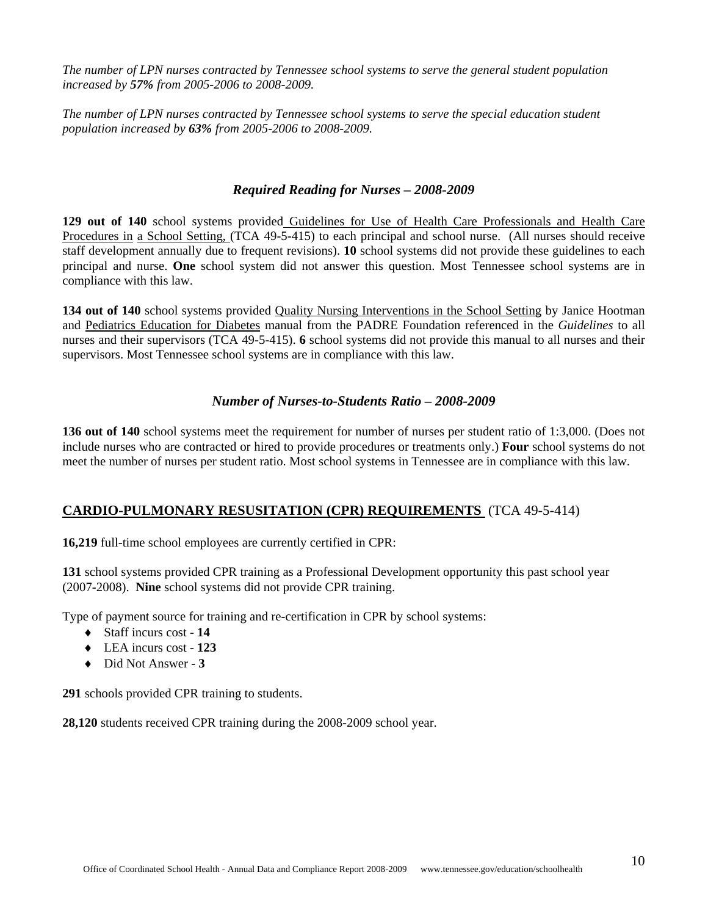*The number of LPN nurses contracted by Tennessee school systems to serve the general student population increased by 57% from 2005-2006 to 2008-2009.* 

*The number of LPN nurses contracted by Tennessee school systems to serve the special education student population increased by 63% from 2005-2006 to 2008-2009.* 

#### *Required Reading for Nurses – 2008-2009*

**129 out of 140** school systems provided Guidelines for Use of Health Care Professionals and Health Care Procedures in a School Setting, (TCA 49-5-415) to each principal and school nurse. (All nurses should receive staff development annually due to frequent revisions). **10** school systems did not provide these guidelines to each principal and nurse. **One** school system did not answer this question. Most Tennessee school systems are in compliance with this law.

**134 out of 140** school systems provided Quality Nursing Interventions in the School Setting by Janice Hootman and Pediatrics Education for Diabetes manual from the PADRE Foundation referenced in the *Guidelines* to all nurses and their supervisors (TCA 49-5-415). **6** school systems did not provide this manual to all nurses and their supervisors. Most Tennessee school systems are in compliance with this law.

#### *Number of Nurses-to-Students Ratio – 2008-2009*

**136** out of 140 school systems meet the requirement for number of nurses per student ratio of 1:3,000. (Does not include nurses who are contracted or hired to provide procedures or treatments only.) **Four** school systems do not meet the number of nurses per student ratio. Most school systems in Tennessee are in compliance with this law.

#### **CARDIO-PULMONARY RESUSITATION (CPR) REQUIREMENTS** (TCA 49-5-414)

**16,219** full-time school employees are currently certified in CPR:

**131** school systems provided CPR training as a Professional Development opportunity this past school year (2007-2008). **Nine** school systems did not provide CPR training.

Type of payment source for training and re-certification in CPR by school systems:

- ♦ Staff incurs cost **14**
- ♦ LEA incurs cost **123**
- ♦ Did Not Answer **3**

**291** schools provided CPR training to students.

**28,120** students received CPR training during the 2008-2009 school year.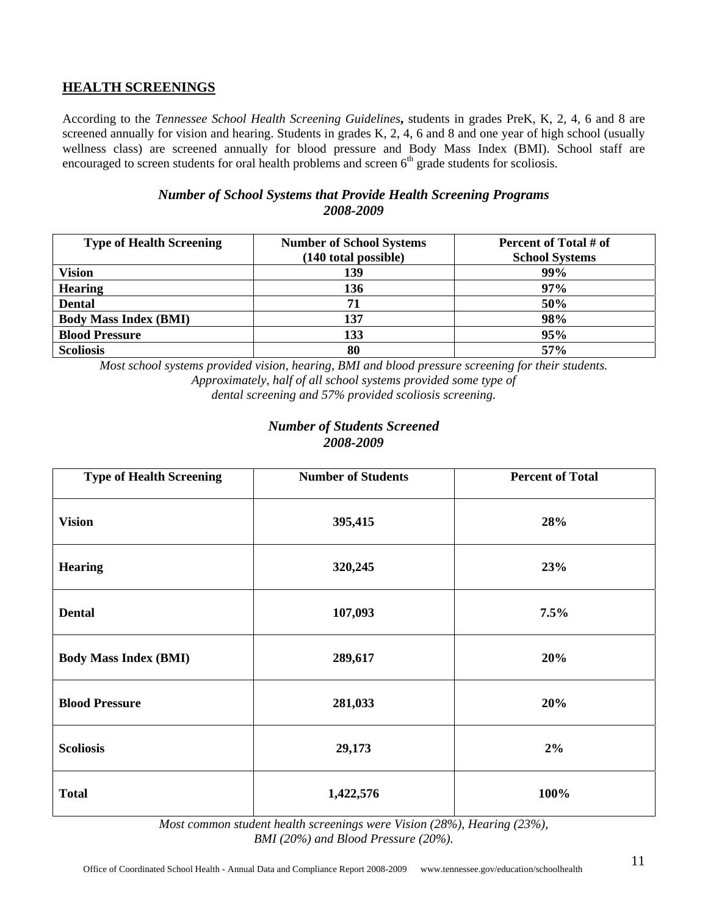#### **HEALTH SCREENINGS**

According to the *Tennessee School Health Screening Guidelines***,** students in grades PreK, K, 2, 4, 6 and 8 are screened annually for vision and hearing. Students in grades K, 2, 4, 6 and 8 and one year of high school (usually wellness class) are screened annually for blood pressure and Body Mass Index (BMI). School staff are encouraged to screen students for oral health problems and screen  $6<sup>th</sup>$  grade students for scoliosis.

#### *Number of School Systems that Provide Health Screening Programs 2008-2009*

| <b>Type of Health Screening</b> | <b>Number of School Systems</b> | Percent of Total # of |
|---------------------------------|---------------------------------|-----------------------|
|                                 | (140 total possible)            | <b>School Systems</b> |
| <b>Vision</b>                   | 139                             | 99%                   |
| <b>Hearing</b>                  | 136                             | 97%                   |
| <b>Dental</b>                   | 71                              | 50%                   |
| <b>Body Mass Index (BMI)</b>    | 137                             | 98%                   |
| <b>Blood Pressure</b>           | 133                             | 95%                   |
| <b>Scoliosis</b>                | 80                              | 57%                   |

*Most school systems provided vision, hearing, BMI and blood pressure screening for their students. Approximately, half of all school systems provided some type of dental screening and 57% provided scoliosis screening.* 

#### *Number of Students Screened 2008-2009*

| <b>Type of Health Screening</b> | <b>Number of Students</b> | <b>Percent of Total</b> |
|---------------------------------|---------------------------|-------------------------|
| <b>Vision</b>                   | 395,415                   | 28%                     |
| <b>Hearing</b>                  | 320,245                   | 23%                     |
| <b>Dental</b>                   | 107,093                   | 7.5%                    |
| <b>Body Mass Index (BMI)</b>    | 289,617                   | 20%                     |
| <b>Blood Pressure</b>           | 281,033                   | 20%                     |
| <b>Scoliosis</b>                | 29,173                    | $2\%$                   |
| <b>Total</b>                    | 1,422,576                 | 100%                    |

*Most common student health screenings were Vision (28%), Hearing (23%), BMI (20%) and Blood Pressure (20%).*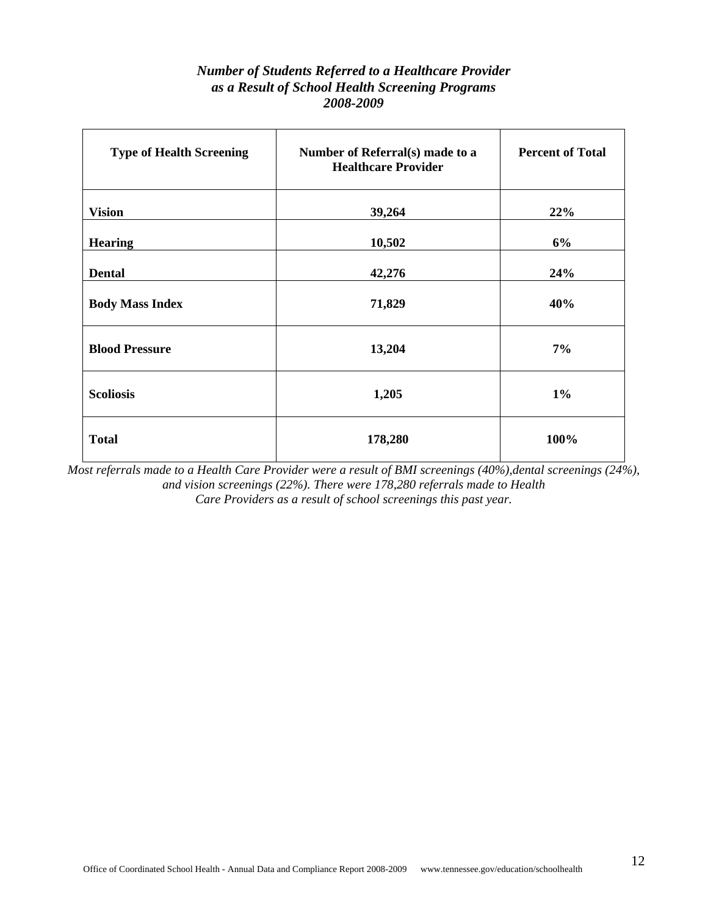#### *Number of Students Referred to a Healthcare Provider as a Result of School Health Screening Programs 2008-2009*

| <b>Type of Health Screening</b> | Number of Referral(s) made to a<br><b>Healthcare Provider</b> | <b>Percent of Total</b> |  |
|---------------------------------|---------------------------------------------------------------|-------------------------|--|
| <b>Vision</b>                   | 39,264                                                        | 22%                     |  |
| <b>Hearing</b>                  | 10,502                                                        | 6%                      |  |
| <b>Dental</b>                   | 42,276                                                        | 24%                     |  |
| <b>Body Mass Index</b>          | 71,829                                                        | 40%                     |  |
| <b>Blood Pressure</b>           | 13,204                                                        | 7%                      |  |
| <b>Scoliosis</b>                | 1,205                                                         | $1\%$                   |  |
| <b>Total</b>                    | 178,280                                                       | 100%                    |  |

*Most referrals made to a Health Care Provider were a result of BMI screenings (40%),dental screenings (24%), and vision screenings (22%). There were 178,280 referrals made to Health Care Providers as a result of school screenings this past year.*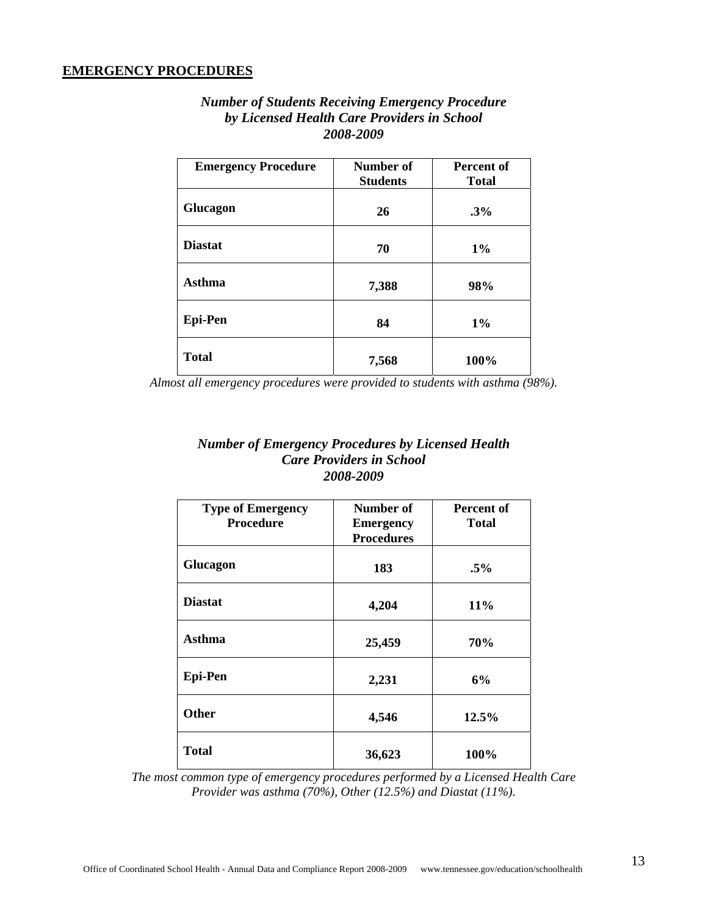#### **EMERGENCY PROCEDURES**

| <b>Number of Students Receiving Emergency Procedure</b> |
|---------------------------------------------------------|
| by Licensed Health Care Providers in School             |
| 2008-2009                                               |

| <b>Emergency Procedure</b> | Number of<br><b>Students</b> | <b>Percent of</b><br><b>Total</b> |  |
|----------------------------|------------------------------|-----------------------------------|--|
| Glucagon                   | 26                           | $.3\%$                            |  |
| <b>Diastat</b>             | 70                           | $1\%$                             |  |
| <b>Asthma</b>              | 7,388                        | 98%                               |  |
| <b>Epi-Pen</b>             | 84                           | $1\%$                             |  |
| <b>Total</b>               | 7,568                        | 100%                              |  |

*Almost all emergency procedures were provided to students with asthma (98%).* 

#### *Number of Emergency Procedures by Licensed Health Care Providers in School 2008-2009*

| <b>Type of Emergency</b><br><b>Procedure</b> | Number of<br><b>Emergency</b><br><b>Procedures</b> | Percent of<br><b>Total</b> |  |
|----------------------------------------------|----------------------------------------------------|----------------------------|--|
| Glucagon                                     | 183                                                | $.5\%$                     |  |
| <b>Diastat</b>                               | 4,204                                              | $11\%$                     |  |
| <b>Asthma</b>                                | 25,459                                             | 70%                        |  |
| <b>Epi-Pen</b>                               | 2,231                                              | 6%                         |  |
| <b>Other</b>                                 | 4,546                                              | 12.5%                      |  |
| <b>Total</b>                                 | 36,623                                             | 100%                       |  |

*The most common type of emergency procedures performed by a Licensed Health Care Provider was asthma (70%), Other (12.5%) and Diastat (11%).*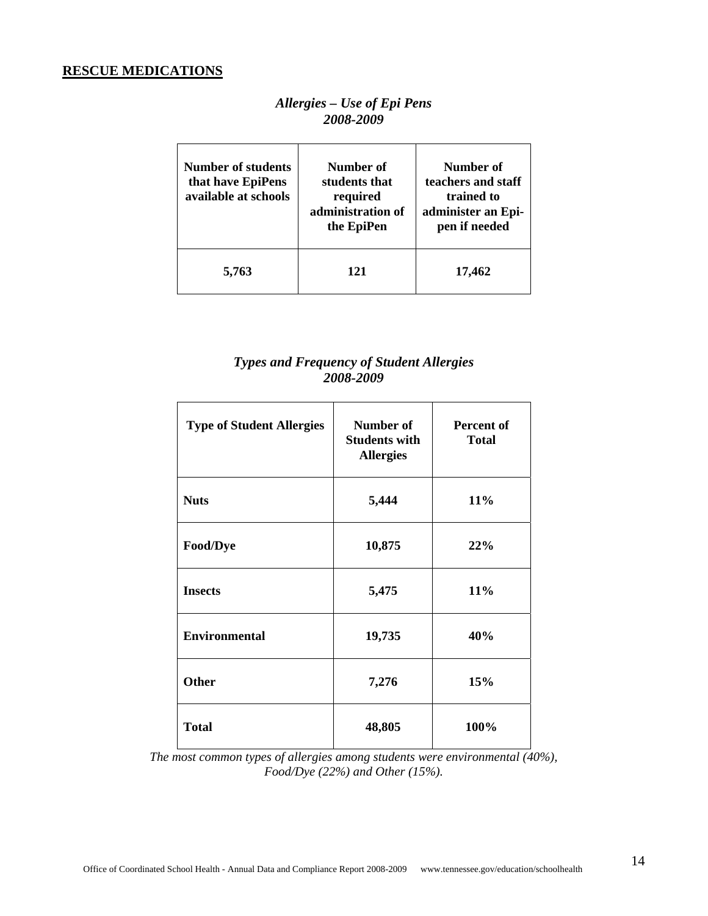#### **RESCUE MEDICATIONS**

#### *Allergies – Use of Epi Pens 2008-2009*

| Number of students<br>that have EpiPens<br>available at schools | Number of<br>students that<br>required<br>administration of<br>the EpiPen | Number of<br>teachers and staff<br>trained to<br>administer an Epi-<br>pen if needed |
|-----------------------------------------------------------------|---------------------------------------------------------------------------|--------------------------------------------------------------------------------------|
| 5,763                                                           | 121                                                                       | 17,462                                                                               |

#### *Types and Frequency of Student Allergies 2008-2009*

| <b>Type of Student Allergies</b> | Number of<br><b>Students with</b><br><b>Allergies</b> | Percent of<br><b>Total</b> |  |
|----------------------------------|-------------------------------------------------------|----------------------------|--|
| <b>Nuts</b>                      | 5,444                                                 | 11%                        |  |
| Food/Dye                         | 10,875                                                | 22%                        |  |
| <b>Insects</b>                   | 5,475                                                 | 11%                        |  |
| <b>Environmental</b>             | 19,735                                                | 40%                        |  |
| <b>Other</b>                     | 7,276                                                 | 15%                        |  |
| <b>Total</b>                     | 48,805                                                | 100%                       |  |

*The most common types of allergies among students were environmental (40%), Food/Dye (22%) and Other (15%).*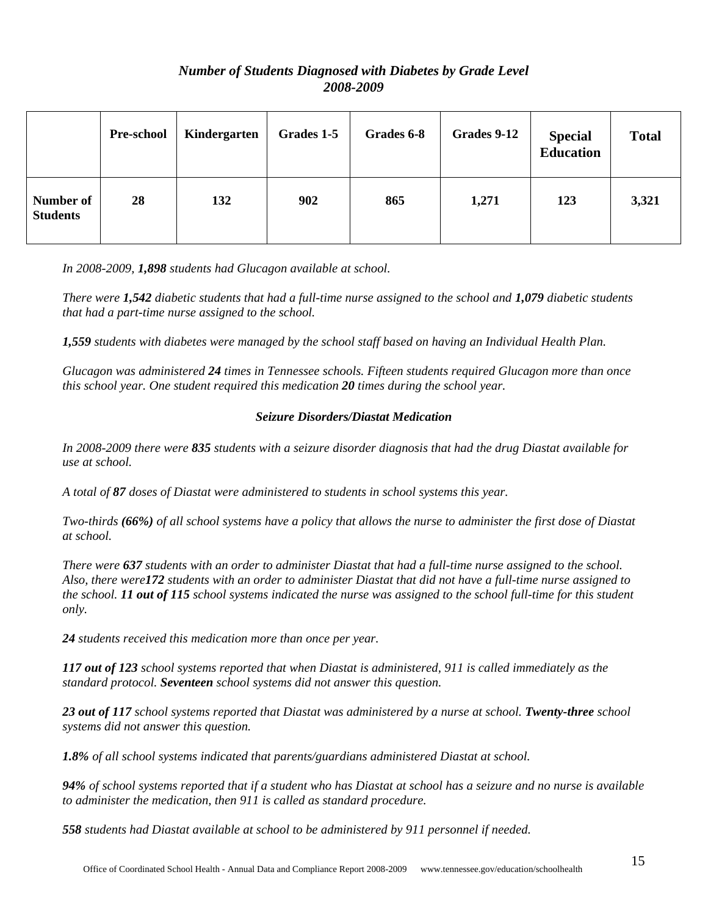#### *Number of Students Diagnosed with Diabetes by Grade Level 2008-2009*

|                              | <b>Pre-school</b> | Kindergarten | Grades 1-5 | Grades 6-8 | Grades 9-12 | <b>Special</b><br><b>Education</b> | <b>Total</b> |
|------------------------------|-------------------|--------------|------------|------------|-------------|------------------------------------|--------------|
| Number of<br><b>Students</b> | 28                | 132          | 902        | 865        | 1,271       | 123                                | 3,321        |

*In 2008-2009, 1,898 students had Glucagon available at school.* 

*There were 1,542 diabetic students that had a full-time nurse assigned to the school and 1,079 diabetic students that had a part-time nurse assigned to the school.* 

*1,559 students with diabetes were managed by the school staff based on having an Individual Health Plan.* 

*Glucagon was administered 24 times in Tennessee schools. Fifteen students required Glucagon more than once this school year. One student required this medication 20 times during the school year.*

#### *Seizure Disorders/Diastat Medication*

*In 2008-2009 there were 835 students with a seizure disorder diagnosis that had the drug Diastat available for use at school.* 

*A total of 87 doses of Diastat were administered to students in school systems this year.* 

*Two-thirds (66%) of all school systems have a policy that allows the nurse to administer the first dose of Diastat at school.* 

*There were 637 students with an order to administer Diastat that had a full-time nurse assigned to the school. Also, there were172 students with an order to administer Diastat that did not have a full-time nurse assigned to the school. 11 out of 115 school systems indicated the nurse was assigned to the school full-time for this student only.* 

*24 students received this medication more than once per year.* 

*117 out of 123 school systems reported that when Diastat is administered, 911 is called immediately as the standard protocol. Seventeen school systems did not answer this question.* 

23 out of 117 school systems reported that Diastat was administered by a nurse at school. **Twenty-three** school *systems did not answer this question.* 

*1.8% of all school systems indicated that parents/guardians administered Diastat at school.* 

*94% of school systems reported that if a student who has Diastat at school has a seizure and no nurse is available to administer the medication, then 911 is called as standard procedure.* 

*558 students had Diastat available at school to be administered by 911 personnel if needed.*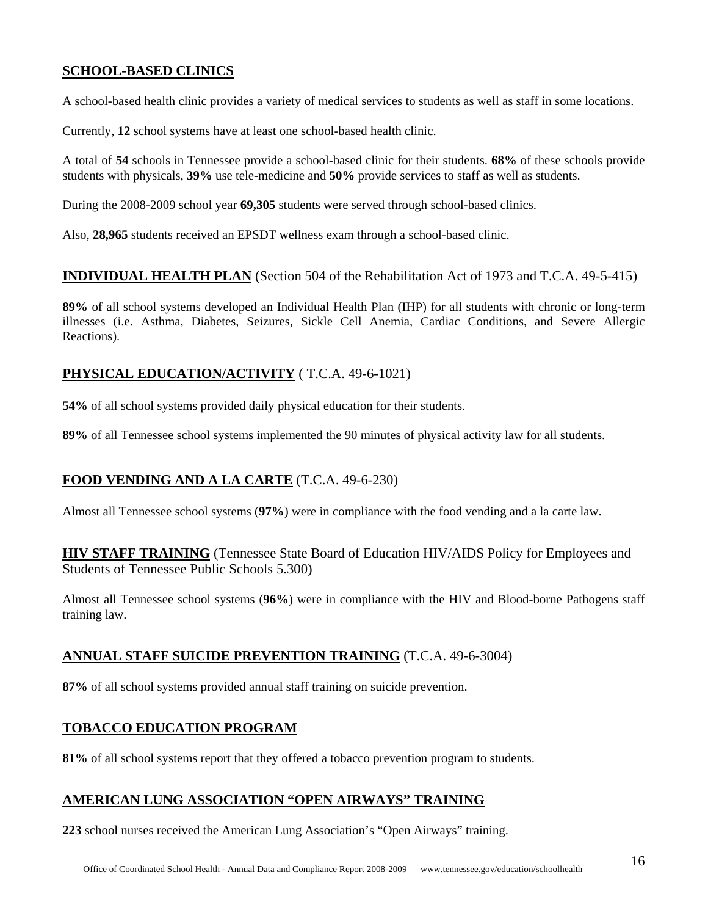#### **SCHOOL-BASED CLINICS**

A school-based health clinic provides a variety of medical services to students as well as staff in some locations.

Currently, **12** school systems have at least one school-based health clinic.

A total of **54** schools in Tennessee provide a school-based clinic for their students. **68%** of these schools provide students with physicals, **39%** use tele-medicine and **50%** provide services to staff as well as students.

During the 2008-2009 school year **69,305** students were served through school-based clinics.

Also, **28,965** students received an EPSDT wellness exam through a school-based clinic.

#### **INDIVIDUAL HEALTH PLAN** (Section 504 of the Rehabilitation Act of 1973 and T.C.A. 49-5-415)

**89%** of all school systems developed an Individual Health Plan (IHP) for all students with chronic or long-term illnesses (i.e. Asthma, Diabetes, Seizures, Sickle Cell Anemia, Cardiac Conditions, and Severe Allergic Reactions).

#### **PHYSICAL EDUCATION/ACTIVITY** ( T.C.A. 49-6-1021)

**54%** of all school systems provided daily physical education for their students.

**89%** of all Tennessee school systems implemented the 90 minutes of physical activity law for all students.

#### **FOOD VENDING AND A LA CARTE** (T.C.A. 49-6-230)

Almost all Tennessee school systems (**97%**) were in compliance with the food vending and a la carte law.

**HIV STAFF TRAINING** (Tennessee State Board of Education HIV/AIDS Policy for Employees and Students of Tennessee Public Schools 5.300)

Almost all Tennessee school systems (**96%**) were in compliance with the HIV and Blood-borne Pathogens staff training law.

#### **ANNUAL STAFF SUICIDE PREVENTION TRAINING** (T.C.A. 49-6-3004)

**87%** of all school systems provided annual staff training on suicide prevention.

#### **TOBACCO EDUCATION PROGRAM**

**81%** of all school systems report that they offered a tobacco prevention program to students.

#### **AMERICAN LUNG ASSOCIATION "OPEN AIRWAYS" TRAINING**

**223** school nurses received the American Lung Association's "Open Airways" training.